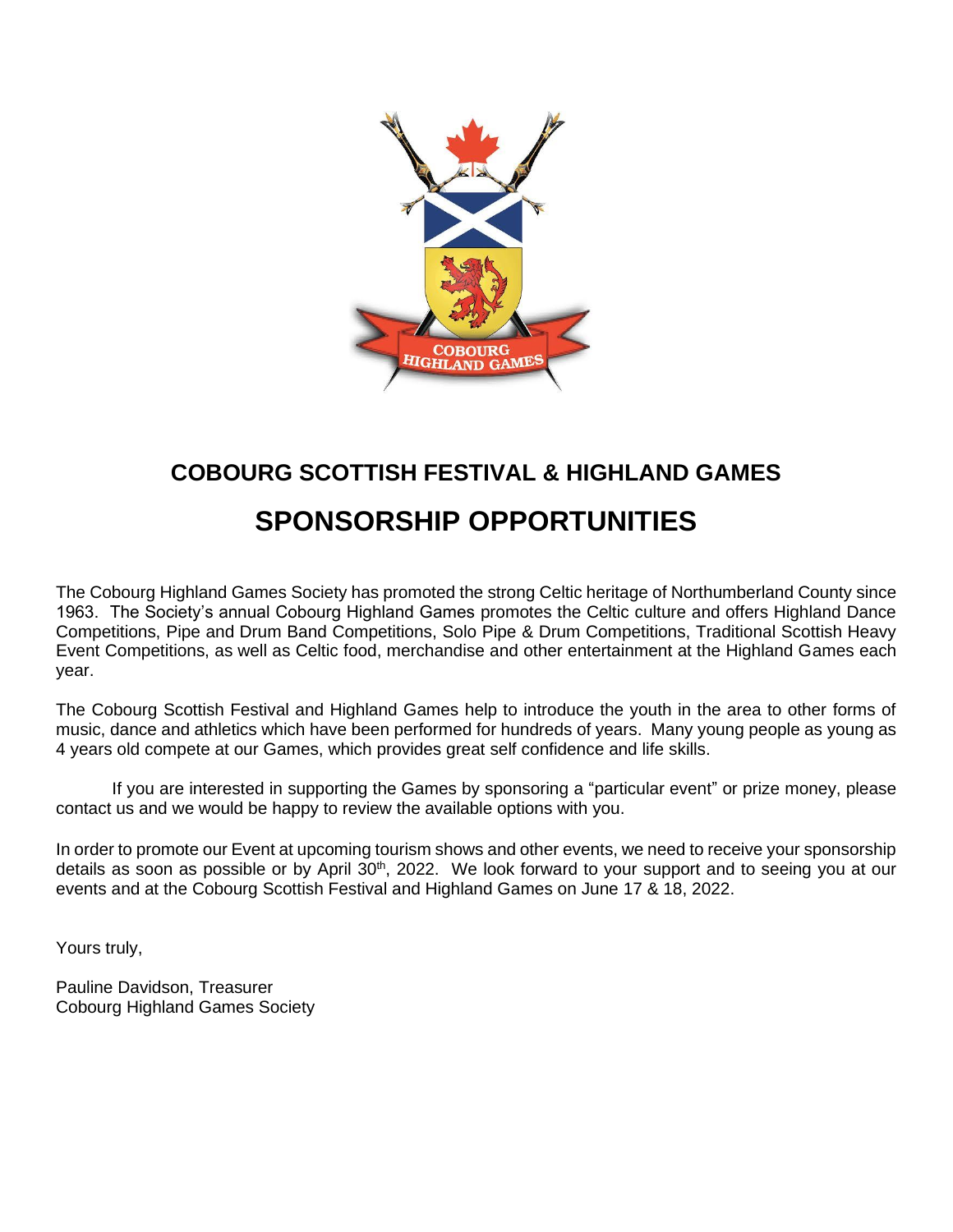

# **COBOURG SCOTTISH FESTIVAL & HIGHLAND GAMES SPONSORSHIP OPPORTUNITIES**

The Cobourg Highland Games Society has promoted the strong Celtic heritage of Northumberland County since 1963. The Society's annual Cobourg Highland Games promotes the Celtic culture and offers Highland Dance Competitions, Pipe and Drum Band Competitions, Solo Pipe & Drum Competitions, Traditional Scottish Heavy Event Competitions, as well as Celtic food, merchandise and other entertainment at the Highland Games each year.

The Cobourg Scottish Festival and Highland Games help to introduce the youth in the area to other forms of music, dance and athletics which have been performed for hundreds of years. Many young people as young as 4 years old compete at our Games, which provides great self confidence and life skills.

If you are interested in supporting the Games by sponsoring a "particular event" or prize money, please contact us and we would be happy to review the available options with you.

In order to promote our Event at upcoming tourism shows and other events, we need to receive your sponsorship details as soon as possible or by April 30<sup>th</sup>, 2022. We look forward to your support and to seeing you at our events and at the Cobourg Scottish Festival and Highland Games on June 17 & 18, 2022.

Yours truly,

Pauline Davidson, Treasurer Cobourg Highland Games Society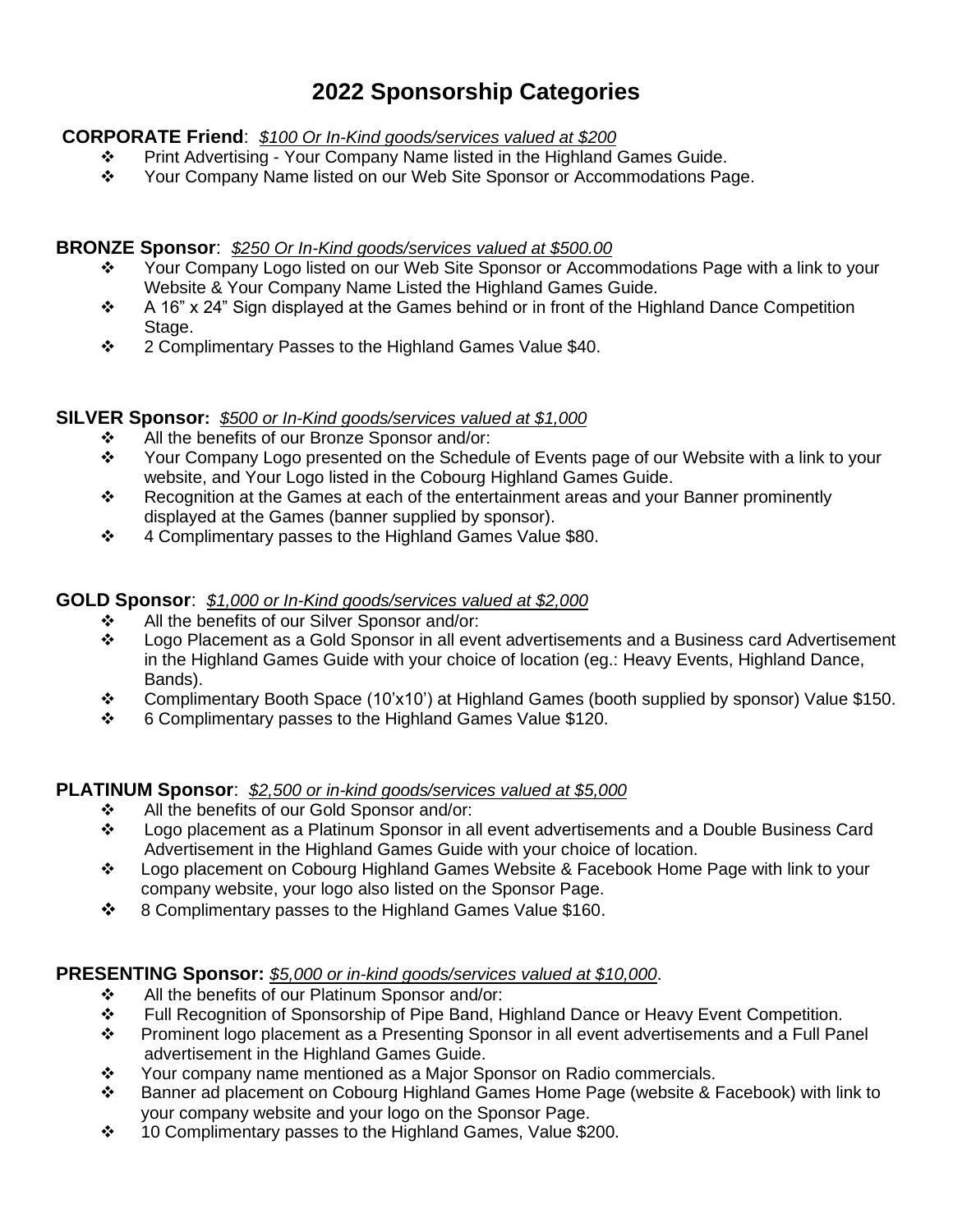# **2022 Sponsorship Categories**

## **CORPORATE Friend**: *\$100 Or In-Kind goods/services valued at \$200*

- ❖ Print Advertising Your Company Name listed in the Highland Games Guide.
- ❖ Your Company Name listed on our Web Site Sponsor or Accommodations Page.

## **BRONZE Sponsor**: *\$250 Or In-Kind goods/services valued at \$500.00*

- ❖ Your Company Logo listed on our Web Site Sponsor or Accommodations Page with a link to your Website & Your Company Name Listed the Highland Games Guide.
- ❖ A 16" x 24" Sign displayed at the Games behind or in front of the Highland Dance Competition Stage.
- ❖ 2 Complimentary Passes to the Highland Games Value \$40.

# **SILVER Sponsor:** *\$500 or In-Kind goods/services valued at \$1,000*

- ❖ All the benefits of our Bronze Sponsor and/or:
- ❖ Your Company Logo presented on the Schedule of Events page of our Website with a link to your website, and Your Logo listed in the Cobourg Highland Games Guide.
- ❖ Recognition at the Games at each of the entertainment areas and your Banner prominently displayed at the Games (banner supplied by sponsor).
- ❖ 4 Complimentary passes to the Highland Games Value \$80.

## **GOLD Sponsor**: *\$1,000 or In-Kind goods/services valued at \$2,000*

- ❖ All the benefits of our Silver Sponsor and/or:
- ❖ Logo Placement as a Gold Sponsor in all event advertisements and a Business card Advertisement in the Highland Games Guide with your choice of location (eg.: Heavy Events, Highland Dance, Bands).
- ❖ Complimentary Booth Space (10'x10') at Highland Games (booth supplied by sponsor) Value \$150.
- ❖ 6 Complimentary passes to the Highland Games Value \$120.

## **PLATINUM Sponsor**: *\$2,500 or in-kind goods/services valued at \$5,000*

- ❖ All the benefits of our Gold Sponsor and/or:
- ❖ Logo placement as a Platinum Sponsor in all event advertisements and a Double Business Card Advertisement in the Highland Games Guide with your choice of location.
- ❖ Logo placement on Cobourg Highland Games Website & Facebook Home Page with link to your company website, your logo also listed on the Sponsor Page.
- ❖ 8 Complimentary passes to the Highland Games Value \$160.

## **PRESENTING Sponsor:** *\$5,000 or in-kind goods/services valued at \$10,000*.

- ❖ All the benefits of our Platinum Sponsor and/or:
- ❖ Full Recognition of Sponsorship of Pipe Band, Highland Dance or Heavy Event Competition.
- ❖ Prominent logo placement as a Presenting Sponsor in all event advertisements and a Full Panel advertisement in the Highland Games Guide.
- ❖ Your company name mentioned as a Major Sponsor on Radio commercials.
- ❖ Banner ad placement on Cobourg Highland Games Home Page (website & Facebook) with link to your company website and your logo on the Sponsor Page.
- ❖ 10 Complimentary passes to the Highland Games, Value \$200.